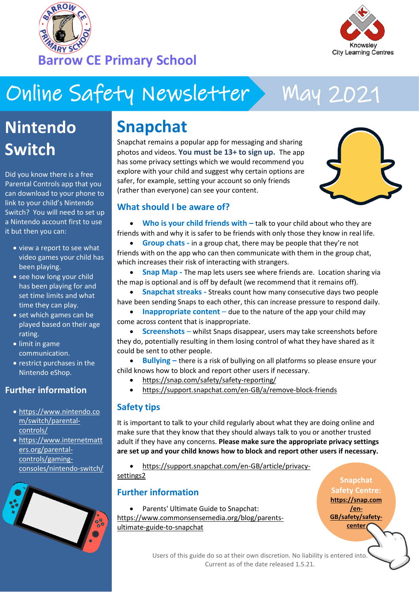



# Online Safety Newsletter May 2021

## **Nintendo Switch**

Did you know there is a free Parental Controls app that you can download to your phone to link to your child's Nintendo Switch? You will need to set up a Nintendo account first to use it but then you can:

- view a report to see what video games your child has been playing.
- see how long your child has been playing for and set time limits and what time they can play.
- set which games can be played based on their age rating.
- limit in game communication.
- restrict purchases in the Nintendo eShop.

### **Further information**

- [https://www.nintendo.co](https://www.nintendo.com/switch/parental-controls/) [m/switch/parental](https://www.nintendo.com/switch/parental-controls/)[controls/](https://www.nintendo.com/switch/parental-controls/)
- [https://www.internetmatt](https://www.internetmatters.org/parental-controls/gaming-consoles/nintendo-switch/) [ers.org/parental](https://www.internetmatters.org/parental-controls/gaming-consoles/nintendo-switch/)[controls/gaming](https://www.internetmatters.org/parental-controls/gaming-consoles/nintendo-switch/)[consoles/nintendo-switch/](https://www.internetmatters.org/parental-controls/gaming-consoles/nintendo-switch/)



### **Snapchat**

Snapchat remains a popular app for messaging and sharing photos and videos. **You must be 13+ to sign up.** The app has some privacy settings which we would recommend you explore with your child and suggest why certain options are safer, for example, setting your account so only friends (rather than everyone) can see your content.



#### **What should I be aware of?**

• Who is your child friends with – talk to your child about who they are friends with and why it is safer to be friends with only those they know in real life.

• **Group chats -** in a group chat, there may be people that they're not friends with on the app who can then communicate with them in the group chat, which increases their risk of interacting with strangers.

**• Snap Map -** The map lets users see where friends are. Location sharing via the map is optional and is off by default (we recommend that it remains off).

• **Snapchat streaks -** Streaks count how many consecutive days two people have been sending Snaps to each other, this can increase pressure to respond daily.

• **Inappropriate content** – due to the nature of the app your child may come across content that is inappropriate.

• **Screenshots** – whilst Snaps disappear, users may take screenshots before they do, potentially resulting in them losing control of what they have shared as it could be sent to other people.

- **Bullying –** there is a risk of bullying on all platforms so please ensure your child knows how to block and report other users if necessary.
	- <https://snap.com/safety/safety-reporting/>
	- <https://support.snapchat.com/en-GB/a/remove-block-friends>

### **Safety tips**

It is important to talk to your child regularly about what they are doing online and make sure that they know that they should always talk to you or another trusted adult if they have any concerns. **Please make sure the appropriate privacy settings are set up and your child knows how to block and report other users if necessary.**

• [https://support.snapchat.com/en-GB/article/privacy](https://support.snapchat.com/en-GB/article/privacy-settings2)[settings2](https://support.snapchat.com/en-GB/article/privacy-settings2)

### **Further information**

• Parents' Ultimate Guide to Snapchat: [https://www.commonsensemedia.org/blog/parents](https://www.commonsensemedia.org/blog/parents-ultimate-guide-to-snapchat)[ultimate-guide-to-snapchat](https://www.commonsensemedia.org/blog/parents-ultimate-guide-to-snapchat)

**Snapchat Safety Centre: [https://snap.com](https://snap.com/en-GB/safety/safety-center) [/en-](https://snap.com/en-GB/safety/safety-center)[GB/safety/safety](https://snap.com/en-GB/safety/safety-center)[center](https://snap.com/en-GB/safety/safety-center)**

Users of this guide do so at their own discretion. No liability is entered into. Current as of the date released 1.5.21.